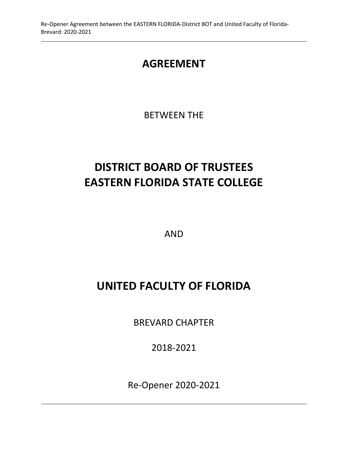# **AGREEMENT**

BETWEEN THE

# **DISTRICT BOARD OF TRUSTEES EASTERN FLORIDA STATE COLLEGE**

AND

# **UNITED FACULTY OF FLORIDA**

BREVARD CHAPTER

2018-2021

Re-Opener 2020-2021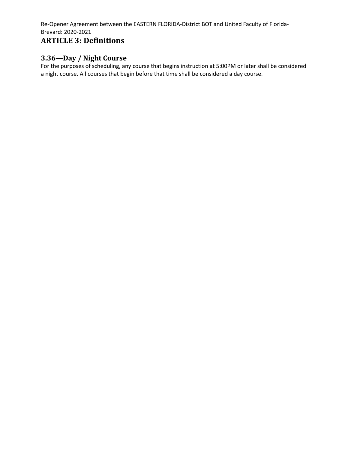# **ARTICLE 3: Definitions**

# **3.36—Day / Night Course**

For the purposes of scheduling, any course that begins instruction at 5:00PM or later shall be considered a night course. All courses that begin before that time shall be considered a day course.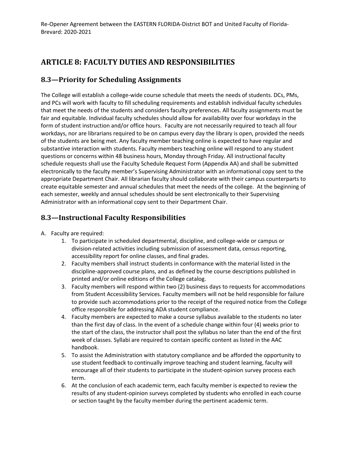# **ARTICLE 8: FACULTY DUTIES AND RESPONSIBILITIES**

### **8.3—Priority for Scheduling Assignments**

The College will establish a college-wide course schedule that meets the needs of students. DCs, PMs, and PCs will work with faculty to fill scheduling requirements and establish individual faculty schedules that meet the needs of the students and considers faculty preferences. All faculty assignments must be fair and equitable. Individual faculty schedules should allow for availability over four workdays in the form of student instruction and/or office hours. Faculty are not necessarily required to teach all four workdays, nor are librarians required to be on campus every day the library is open, provided the needs of the students are being met. Any faculty member teaching online is expected to have regular and substantive interaction with students. Faculty members teaching online will respond to any student questions or concerns within 48 business hours, Monday through Friday. All instructional faculty schedule requests shall use the Faculty Schedule Request Form (Appendix AA) and shall be submitted electronically to the faculty member's Supervising Administrator with an informational copy sent to the appropriate Department Chair. All librarian faculty should collaborate with their campus counterparts to create equitable semester and annual schedules that meet the needs of the college. At the beginning of each semester, weekly and annual schedules should be sent electronically to their Supervising Administrator with an informational copy sent to their Department Chair.

# **8.3—Instructional Faculty Responsibilities**

- A. Faculty are required:
	- 1. To participate in scheduled departmental, discipline, and college-wide or campus or division-related activities including submission of assessment data, census reporting, accessibility report for online classes, and final grades.
	- 2. Faculty members shall instruct students in conformance with the material listed in the discipline-approved course plans, and as defined by the course descriptions published in printed and/or online editions of the College catalog.
	- 3. Faculty members will respond within two (2) business days to requests for accommodations from Student Accessibility Services. Faculty members will not be held responsible for failure to provide such accommodations prior to the receipt of the required notice from the College office responsible for addressing ADA student compliance.
	- 4. Faculty members are expected to make a course syllabus available to the students no later than the first day of class. In the event of a schedule change within four (4) weeks prior to the start of the class, the instructor shall post the syllabus no later than the end of the first week of classes. Syllabi are required to contain specific content as listed in the AAC handbook.
	- 5. To assist the Administration with statutory compliance and be afforded the opportunity to use student feedback to continually improve teaching and student learning, faculty will encourage all of their students to participate in the student-opinion survey process each term.
	- 6. At the conclusion of each academic term, each faculty member is expected to review the results of any student-opinion surveys completed by students who enrolled in each course or section taught by the faculty member during the pertinent academic term.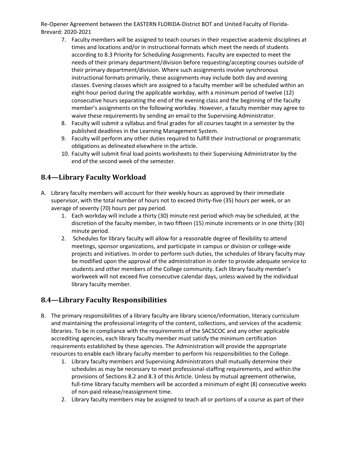- 7. Faculty members will be assigned to teach courses in their respective academic disciplines at times and locations and/or in instructional formats which meet the needs of students according to 8.3 Priority for Scheduling Assignments. Faculty are expected to meet the needs of their primary department/division before requesting/accepting courses outside of their primary department/division. Where such assignments involve synchronous instructional formats primarily, these assignments may include both day and evening classes. Evening classes which are assigned to a faculty member will be scheduled within an eight-hour period during the applicable workday, with a minimum period of twelve (12) consecutive hours separating the end of the evening class and the beginning of the faculty member's assignments on the following workday. However, a faculty member may agree to waive these requirements by sending an email to the Supervising Administrator.
- 8. Faculty will submit a syllabus and final grades for all courses taught in a semester by the published deadlines in the Learning Management System.
- 9. Faculty will perform any other duties required to fulfill their instructional or programmatic obligations as delineated elsewhere in the article.
- 10. Faculty will submit final load points worksheets to their Supervising Administrator by the end of the second week of the semester.

# **8.4—Library Faculty Workload**

- A. Library faculty members will account for their weekly hours as approved by their immediate supervisor, with the total number of hours not to exceed thirty-five (35) hours per week, or an average of seventy (70) hours per pay period.
	- 1. Each workday will include a thirty (30) minute rest period which may be scheduled, at the discretion of the faculty member, in two fifteen (15) minute increments or in one thirty (30) minute period.
	- 2. Schedules for library faculty will allow for a reasonable degree of flexibility to attend meetings, sponsor organizations, and participate in campus or division or college-wide projects and initiatives. In order to perform such duties, the schedules of library faculty may be modified upon the approval of the administration in order to provide adequate service to students and other members of the College community. Each library faculty member's workweek will not exceed five consecutive calendar days, unless waived by the individual library faculty member.

# **8.4—Library Faculty Responsibilities**

- B. The primary responsibilities of a library faculty are library science/information, literacy curriculum and maintaining the professional integrity of the content, collections, and services of the academic libraries. To be in compliance with the requirements of the SACSCOC and any other applicable accrediting agencies, each library faculty member must satisfy the minimum certification requirements established by these agencies. The Administration will provide the appropriate resources to enable each library faculty member to perform his responsibilities to the College.
	- 1. Library faculty members and Supervising Administrators shall mutually determine their schedules as may be necessary to meet professional-staffing requirements, and within the provisions of Sections 8.2 and 8.3 of this Article. Unless by mutual agreement otherwise, full-time library faculty members will be accorded a minimum of eight (8) consecutive weeks of non-paid release/reassignment time.
	- 2. Library faculty members may be assigned to teach all or portions of a course as part of their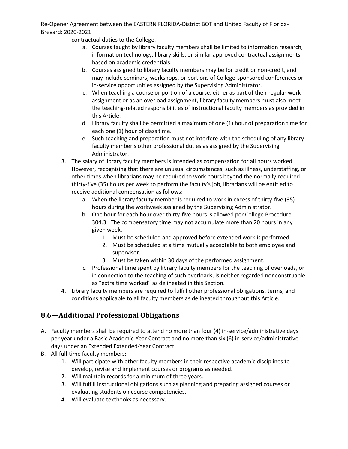contractual duties to the College.

- a. Courses taught by library faculty members shall be limited to information research, information technology, library skills, or similar approved contractual assignments based on academic credentials.
- b. Courses assigned to library faculty members may be for credit or non-credit, and may include seminars, workshops, or portions of College-sponsored conferences or in-service opportunities assigned by the Supervising Administrator.
- c. When teaching a course or portion of a course, either as part of their regular work assignment or as an overload assignment, library faculty members must also meet the teaching-related responsibilities of instructional faculty members as provided in this Article.
- d. Library faculty shall be permitted a maximum of one (1) hour of preparation time for each one (1) hour of class time.
- e. Such teaching and preparation must not interfere with the scheduling of any library faculty member's other professional duties as assigned by the Supervising Administrator.
- 3. The salary of library faculty members is intended as compensation for all hours worked. However, recognizing that there are unusual circumstances, such as illness, understaffing, or other times when librarians may be required to work hours beyond the normally-required thirty-five (35) hours per week to perform the faculty's job, librarians will be entitled to receive additional compensation as follows:
	- a. When the library faculty member is required to work in excess of thirty-five (35) hours during the workweek assigned by the Supervising Administrator.
	- b. One hour for each hour over thirty-five hours is allowed per College Procedure 304.3. The compensatory time may not accumulate more than 20 hours in any given week.
		- 1. Must be scheduled and approved before extended work is performed.
		- 2. Must be scheduled at a time mutually acceptable to both employee and supervisor.
		- 3. Must be taken within 30 days of the performed assignment.
	- c. Professional time spent by library faculty members for the teaching of overloads, or in connection to the teaching of such overloads, is neither regarded nor construable as "extra time worked" as delineated in this Section.
- 4. Library faculty members are required to fulfill other professional obligations, terms, and conditions applicable to all faculty members as delineated throughout this Article.

# **8.6—Additional Professional Obligations**

- A. Faculty members shall be required to attend no more than four (4) in-service/administrative days per year under a Basic Academic-Year Contract and no more than six (6) in-service/administrative days under an Extended Extended-Year Contract.
- B. All full-time faculty members:
	- 1. Will participate with other faculty members in their respective academic disciplines to develop, revise and implement courses or programs as needed.
	- 2. Will maintain records for a minimum of three years.
	- 3. Will fulfill instructional obligations such as planning and preparing assigned courses or evaluating students on course competencies.
	- 4. Will evaluate textbooks as necessary.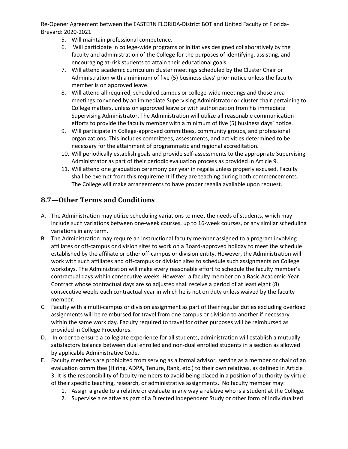- 5. Will maintain professional competence.
- 6. Will participate in college-wide programs or initiatives designed collaboratively by the faculty and administration of the College for the purposes of identifying, assisting, and encouraging at-risk students to attain their educational goals.
- 7. Will attend academic curriculum cluster meetings scheduled by the Cluster Chair or Administration with a minimum of five (5) business days' prior notice unless the faculty member is on approved leave.
- 8. Will attend all required, scheduled campus or college-wide meetings and those area meetings convened by an immediate Supervising Administrator or cluster chair pertaining to College matters, unless on approved leave or with authorization from his immediate Supervising Administrator. The Administration will utilize all reasonable communication efforts to provide the faculty member with a minimum of five (5) business days' notice.
- 9. Will participate in College-approved committees, community groups, and professional organizations. This includes committees, assessments, and activities determined to be necessary for the attainment of programmatic and regional accreditation.
- 10. Will periodically establish goals and provide self-assessments to the appropriate Supervising Administrator as part of their periodic evaluation process as provided in Article 9.
- 11. Will attend one graduation ceremony per year in regalia unless properly excused. Faculty shall be exempt from this requirement if they are teaching during both commencements. The College will make arrangements to have proper regalia available upon request.

# **8.7—Other Terms and Conditions**

- A. The Administration may utilize scheduling variations to meet the needs of students, which may include such variations between one-week courses, up to 16-week courses, or any similar scheduling variations in any term.
- B. The Administration may require an instructional faculty member assigned to a program involving affiliates or off-campus or division sites to work on a Board-approved holiday to meet the schedule established by the affiliate or other off-campus or division entity. However, the Administration will work with such affiliates and off-campus or division sites to schedule such assignments on College workdays. The Administration will make every reasonable effort to schedule the faculty member's contractual days within consecutive weeks. However, a faculty member on a Basic Academic-Year Contract whose contractual days are so adjusted shall receive a period of at least eight (8) consecutive weeks each contractual year in which he is not on duty unless waived by the faculty member.
- C. Faculty with a multi-campus or division assignment as part of their regular duties excluding overload assignments will be reimbursed for travel from one campus or division to another if necessary within the same work day. Faculty required to travel for other purposes will be reimbursed as provided in College Procedures.
- D. In order to ensure a collegiate experience for all students, administration will establish a mutually satisfactory balance between dual enrolled and non-dual enrolled students in a section as allowed by applicable Administrative Code.
- E. Faculty members are prohibited from serving as a formal advisor, serving as a member or chair of an evaluation committee (Hiring, ADPA, Tenure, Rank, etc.) to their own relatives, as defined in Article 3. It is the responsibility of faculty members to avoid being placed in a position of authority by virtue of their specific teaching, research, or administrative assignments. No faculty member may:
	- 1. Assign a grade to a relative or evaluate in any way a relative who is a student at the College.
	- 2. Supervise a relative as part of a Directed Independent Study or other form of individualized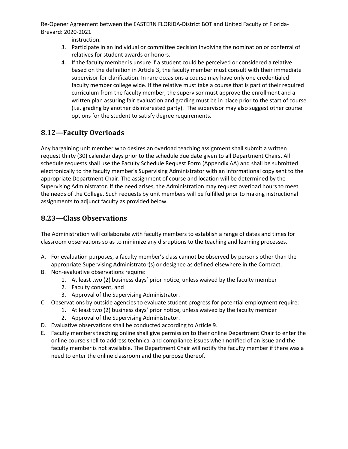instruction.

- 3. Participate in an individual or committee decision involving the nomination or conferral of relatives for student awards or honors.
- 4. If the faculty member is unsure if a student could be perceived or considered a relative based on the definition in Article 3, the faculty member must consult with their immediate supervisor for clarification. In rare occasions a course may have only one credentialed faculty member college wide. If the relative must take a course that is part of their required curriculum from the faculty member, the supervisor must approve the enrollment and a written plan assuring fair evaluation and grading must be in place prior to the start of course (i.e. grading by another disinterested party). The supervisor may also suggest other course options for the student to satisfy degree requirements.

# **8.12—Faculty Overloads**

Any bargaining unit member who desires an overload teaching assignment shall submit a written request thirty (30) calendar days prior to the schedule due date given to all Department Chairs. All schedule requests shall use the Faculty Schedule Request Form (Appendix AA) and shall be submitted electronically to the faculty member's Supervising Administrator with an informational copy sent to the appropriate Department Chair. The assignment of course and location will be determined by the Supervising Administrator. If the need arises, the Administration may request overload hours to meet the needs of the College. Such requests by unit members will be fulfilled prior to making instructional assignments to adjunct faculty as provided below.

# **8.23—Class Observations**

The Administration will collaborate with faculty members to establish a range of dates and times for classroom observations so as to minimize any disruptions to the teaching and learning processes.

- A. For evaluation purposes, a faculty member's class cannot be observed by persons other than the appropriate Supervising Administrator(s) or designee as defined elsewhere in the Contract.
- B. Non-evaluative observations require:
	- 1. At least two (2) business days' prior notice, unless waived by the faculty member
	- 2. Faculty consent, and
	- 3. Approval of the Supervising Administrator.
- C. Observations by outside agencies to evaluate student progress for potential employment require:
	- 1. At least two (2) business days' prior notice, unless waived by the faculty member
	- 2. Approval of the Supervising Administrator.
- D. Evaluative observations shall be conducted according to Article 9.
- E. Faculty members teaching online shall give permission to their online Department Chair to enter the online course shell to address technical and compliance issues when notified of an issue and the faculty member is not available. The Department Chair will notify the faculty member if there was a need to enter the online classroom and the purpose thereof.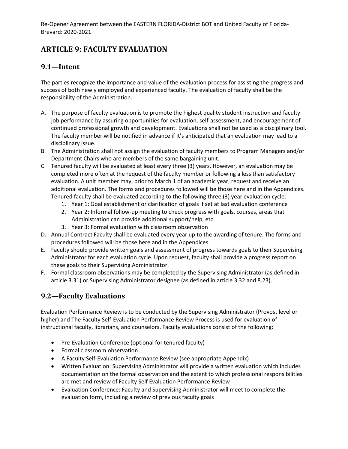# **ARTICLE 9: FACULTY EVALUATION**

### **9.1—Intent**

The parties recognize the importance and value of the evaluation process for assisting the progress and success of both newly employed and experienced faculty. The evaluation of faculty shall be the responsibility of the Administration.

- A. The purpose of faculty evaluation is to promote the highest quality student instruction and faculty job performance by assuring opportunities for evaluation, self-assessment, and encouragement of continued professional growth and development. Evaluations shall not be used as a disciplinary tool. The faculty member will be notified in advance if it's anticipated that an evaluation may lead to a disciplinary issue.
- B. The Administration shall not assign the evaluation of faculty members to Program Managers and/or Department Chairs who are members of the same bargaining unit.
- C. Tenured faculty will be evaluated at least every three (3) years. However, an evaluation may be completed more often at the request of the faculty member or following a less than satisfactory evaluation. A unit member may, prior to March 1 of an academic year, request and receive an additional evaluation. The forms and procedures followed will be those here and in the Appendices. Tenured faculty shall be evaluated according to the following three (3) year evaluation cycle:
	- 1. Year 1: Goal establishment or clarification of goals if set at last evaluation conference
	- 2. Year 2: Informal follow-up meeting to check progress with goals, courses, areas that Administration can provide additional support/help, etc.
	- 3. Year 3: Formal evaluation with classroom observation
- D. Annual Contract Faculty shall be evaluated every year up to the awarding of tenure. The forms and procedures followed will be those here and in the Appendices.
- E. Faculty should provide written goals and assessment of progress towards goals to their Supervising Administrator for each evaluation cycle. Upon request, faculty shall provide a progress report on these goals to their Supervising Administrator.
- F. Formal classroom observations may be completed by the Supervising Administrator (as defined in article 3.31) or Supervising Administrator designee (as defined in article 3.32 and 8.23).

### **9.2—Faculty Evaluations**

Evaluation Performance Review is to be conducted by the Supervising Administrator (Provost level or higher) and The Faculty Self-Evaluation Performance Review Process is used for evaluation of instructional faculty, librarians, and counselors. Faculty evaluations consist of the following:

- Pre-Evaluation Conference (optional for tenured faculty)
- Formal classroom observation
- A Faculty Self-Evaluation Performance Review (see appropriate Appendix)
- Written Evaluation: Supervising Administrator will provide a written evaluation which includes documentation on the formal observation and the extent to which professional responsibilities are met and review of Faculty Self Evaluation Performance Review
- Evaluation Conference: Faculty and Supervising Administrator will meet to complete the evaluation form, including a review of previous faculty goals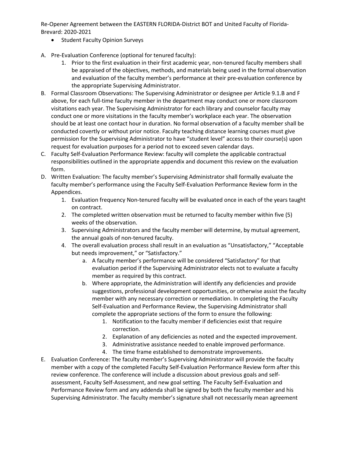- Student Faculty Opinion Surveys
- A. Pre-Evaluation Conference (optional for tenured faculty):
	- 1. Prior to the first evaluation in their first academic year, non-tenured faculty members shall be appraised of the objectives, methods, and materials being used in the formal observation and evaluation of the faculty member's performance at their pre-evaluation conference by the appropriate Supervising Administrator.
- B. Formal Classroom Observations: The Supervising Administrator or designee per Article 9.1.B and F above, for each full-time faculty member in the department may conduct one or more classroom visitations each year. The Supervising Administrator for each library and counselor faculty may conduct one or more visitations in the faculty member's workplace each year. The observation should be at least one contact hour in duration. No formal observation of a faculty member shall be conducted covertly or without prior notice. Faculty teaching distance learning courses must give permission for the Supervising Administrator to have "student level" access to their course(s) upon request for evaluation purposes for a period not to exceed seven calendar days.
- C. Faculty Self-Evaluation Performance Review: faculty will complete the applicable contractual responsibilities outlined in the appropriate appendix and document this review on the evaluation form.
- D. Written Evaluation: The faculty member's Supervising Administrator shall formally evaluate the faculty member's performance using the Faculty Self-Evaluation Performance Review form in the Appendices.
	- 1. Evaluation frequency Non-tenured faculty will be evaluated once in each of the years taught on contract.
	- 2. The completed written observation must be returned to faculty member within five (5) weeks of the observation.
	- 3. Supervising Administrators and the faculty member will determine, by mutual agreement, the annual goals of non-tenured faculty.
	- 4. The overall evaluation process shall result in an evaluation as "Unsatisfactory," "Acceptable but needs improvement," or "Satisfactory."
		- a. A faculty member's performance will be considered "Satisfactory" for that evaluation period if the Supervising Administrator elects not to evaluate a faculty member as required by this contract.
		- b. Where appropriate, the Administration will identify any deficiencies and provide suggestions, professional development opportunities, or otherwise assist the faculty member with any necessary correction or remediation. In completing the Faculty Self-Evaluation and Performance Review, the Supervising Administrator shall complete the appropriate sections of the form to ensure the following:
			- 1. Notification to the faculty member if deficiencies exist that require correction.
			- 2. Explanation of any deficiencies as noted and the expected improvement.
			- 3. Administrative assistance needed to enable improved performance.
			- 4. The time frame established to demonstrate improvements.
- E. Evaluation Conference: The faculty member's Supervising Administrator will provide the faculty member with a copy of the completed Faculty Self-Evaluation Performance Review form after this review conference. The conference will include a discussion about previous goals and selfassessment, Faculty Self-Assessment, and new goal setting. The Faculty Self-Evaluation and Performance Review form and any addenda shall be signed by both the faculty member and his Supervising Administrator. The faculty member's signature shall not necessarily mean agreement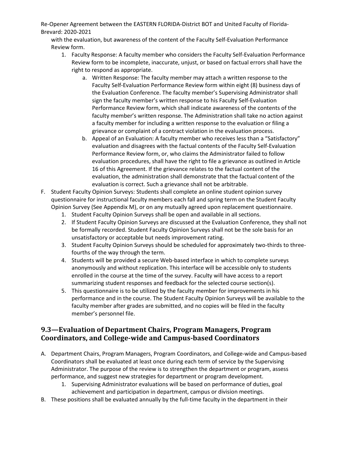with the evaluation, but awareness of the content of the Faculty Self-Evaluation Performance Review form.

- 1. Faculty Response: A faculty member who considers the Faculty Self-Evaluation Performance Review form to be incomplete, inaccurate, unjust, or based on factual errors shall have the right to respond as appropriate.
	- a. Written Response: The faculty member may attach a written response to the Faculty Self-Evaluation Performance Review form within eight (8) business days of the Evaluation Conference. The faculty member's Supervising Administrator shall sign the faculty member's written response to his Faculty Self-Evaluation Performance Review form, which shall indicate awareness of the contents of the faculty member's written response. The Administration shall take no action against a faculty member for including a written response to the evaluation or filing a grievance or complaint of a contract violation in the evaluation process.
	- b. Appeal of an Evaluation: A faculty member who receives less than a "Satisfactory" evaluation and disagrees with the factual contents of the Faculty Self-Evaluation Performance Review form, or, who claims the Administrator failed to follow evaluation procedures, shall have the right to file a grievance as outlined in Article 16 of this Agreement. If the grievance relates to the factual content of the evaluation, the administration shall demonstrate that the factual content of the evaluation is correct. Such a grievance shall not be arbitrable.
- F. Student Faculty Opinion Surveys: Students shall complete an online student opinion survey questionnaire for instructional faculty members each fall and spring term on the Student Faculty Opinion Survey (See Appendix M), or on any mutually agreed upon replacement questionnaire.
	- 1. Student Faculty Opinion Surveys shall be open and available in all sections.
	- 2. If Student Faculty Opinion Surveys are discussed at the Evaluation Conference, they shall not be formally recorded. Student Faculty Opinion Surveys shall not be the sole basis for an unsatisfactory or acceptable but needs improvement rating.
	- 3. Student Faculty Opinion Surveys should be scheduled for approximately two-thirds to threefourths of the way through the term.
	- 4. Students will be provided a secure Web-based interface in which to complete surveys anonymously and without replication. This interface will be accessible only to students enrolled in the course at the time of the survey. Faculty will have access to a report summarizing student responses and feedback for the selected course section(s).
	- 5. This questionnaire is to be utilized by the faculty member for improvements in his performance and in the course. The Student Faculty Opinion Surveys will be available to the faculty member after grades are submitted, and no copies will be filed in the faculty member's personnel file.

# **9.3—Evaluation of Department Chairs, Program Managers, Program Coordinators, and College-wide and Campus-based Coordinators**

- A. Department Chairs, Program Managers, Program Coordinators, and College-wide and Campus-based Coordinators shall be evaluated at least once during each term of service by the Supervising Administrator. The purpose of the review is to strengthen the department or program, assess performance, and suggest new strategies for department or program development.
	- 1. Supervising Administrator evaluations will be based on performance of duties, goal achievement and participation in department, campus or division meetings.
- B. These positions shall be evaluated annually by the full-time faculty in the department in their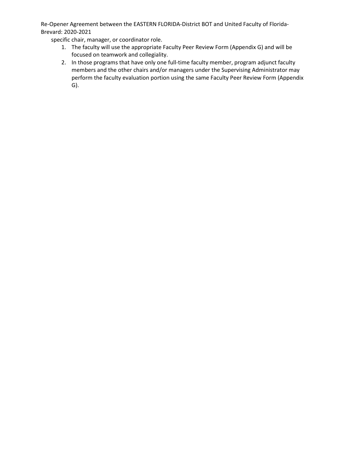specific chair, manager, or coordinator role.

- 1. The faculty will use the appropriate Faculty Peer Review Form (Appendix G) and will be focused on teamwork and collegiality.
- 2. In those programs that have only one full-time faculty member, program adjunct faculty members and the other chairs and/or managers under the Supervising Administrator may perform the faculty evaluation portion using the same Faculty Peer Review Form (Appendix G).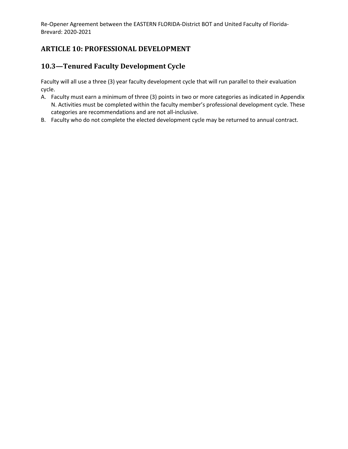# **ARTICLE 10: PROFESSIONAL DEVELOPMENT**

## **10.3—Tenured Faculty Development Cycle**

Faculty will all use a three (3) year faculty development cycle that will run parallel to their evaluation cycle.

- A. Faculty must earn a minimum of three (3) points in two or more categories as indicated in Appendix N. Activities must be completed within the faculty member's professional development cycle. These categories are recommendations and are not all-inclusive.
- B. Faculty who do not complete the elected development cycle may be returned to annual contract.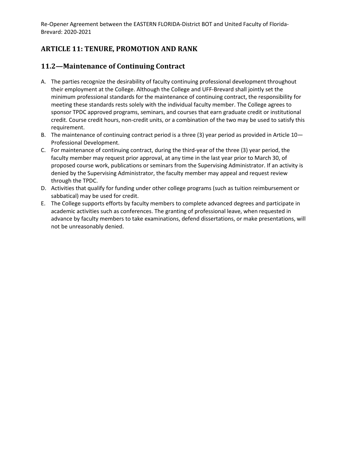# **ARTICLE 11: TENURE, PROMOTION AND RANK**

### **11.2—Maintenance of Continuing Contract**

- A. The parties recognize the desirability of faculty continuing professional development throughout their employment at the College. Although the College and UFF-Brevard shall jointly set the minimum professional standards for the maintenance of continuing contract, the responsibility for meeting these standards rests solely with the individual faculty member. The College agrees to sponsor TPDC approved programs, seminars, and courses that earn graduate credit or institutional credit. Course credit hours, non-credit units, or a combination of the two may be used to satisfy this requirement.
- B. The maintenance of continuing contract period is a three (3) year period as provided in Article 10— Professional Development.
- C. For maintenance of continuing contract, during the third-year of the three (3) year period, the faculty member may request prior approval, at any time in the last year prior to March 30, of proposed course work, publications or seminars from the Supervising Administrator. If an activity is denied by the Supervising Administrator, the faculty member may appeal and request review through the TPDC.
- D. Activities that qualify for funding under other college programs (such as tuition reimbursement or sabbatical) may be used for credit.
- E. The College supports efforts by faculty members to complete advanced degrees and participate in academic activities such as conferences. The granting of professional leave, when requested in advance by faculty members to take examinations, defend dissertations, or make presentations, will not be unreasonably denied.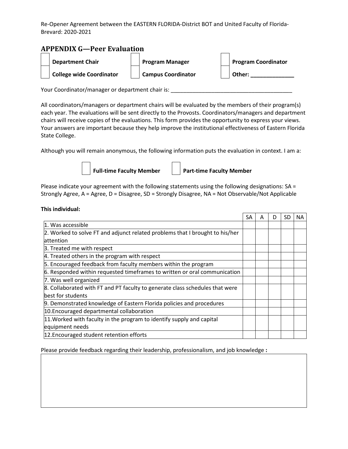### **APPENDIX G—Peer Evaluation**



Your Coordinator/manager or department chair is: \_\_\_\_\_\_\_\_\_\_\_\_\_\_\_\_\_\_\_\_\_\_\_\_\_\_\_\_\_\_\_

All coordinators/managers or department chairs will be evaluated by the members of their program(s) each year. The evaluations will be sent directly to the Provosts. Coordinators/managers and department chairs will receive copies of the evaluations. This form provides the opportunity to express your views. Your answers are important because they help improve the institutional effectiveness of Eastern Florida State College.

Although you will remain anonymous, the following information puts the evaluation in context. I am a:



Full-time Faculty Member | | Part-time Faculty Member

Please indicate your agreement with the following statements using the following designations: SA = Strongly Agree, A = Agree, D = Disagree, SD = Strongly Disagree, NA = Not Observable/Not Applicable

#### **This individual:**

|                                                                              | SA | A | D | SD | NA. |
|------------------------------------------------------------------------------|----|---|---|----|-----|
| 1. Was accessible                                                            |    |   |   |    |     |
| 2. Worked to solve FT and adjunct related problems that I brought to his/her |    |   |   |    |     |
| <b>lattention</b>                                                            |    |   |   |    |     |
| 3. Treated me with respect                                                   |    |   |   |    |     |
| 4. Treated others in the program with respect                                |    |   |   |    |     |
| 5. Encouraged feedback from faculty members within the program               |    |   |   |    |     |
| 6. Responded within requested timeframes to written or oral communication    |    |   |   |    |     |
| 7. Was well organized                                                        |    |   |   |    |     |
| 8. Collaborated with FT and PT faculty to generate class schedules that were |    |   |   |    |     |
| best for students                                                            |    |   |   |    |     |
| 9. Demonstrated knowledge of Eastern Florida policies and procedures         |    |   |   |    |     |
| 10. Encouraged departmental collaboration                                    |    |   |   |    |     |
| 11. Worked with faculty in the program to identify supply and capital        |    |   |   |    |     |
| equipment needs                                                              |    |   |   |    |     |
| 12. Encouraged student retention efforts                                     |    |   |   |    |     |

Please provide feedback regarding their leadership, professionalism, and job knowledge **:**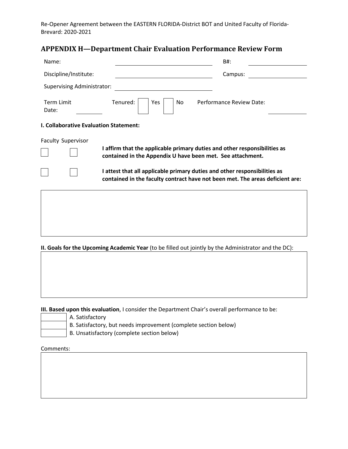### **APPENDIX H—Department Chair Evaluation Performance Review Form**

| Name:                                         | B#:                                                                                                                                                        |
|-----------------------------------------------|------------------------------------------------------------------------------------------------------------------------------------------------------------|
| Discipline/Institute:                         | Campus:                                                                                                                                                    |
| <b>Supervising Administrator:</b>             |                                                                                                                                                            |
| Tenured:<br><b>Term Limit</b><br>Date:        | Performance Review Date:<br><b>Yes</b><br>No.                                                                                                              |
| <b>I. Collaborative Evaluation Statement:</b> |                                                                                                                                                            |
| <b>Faculty Supervisor</b>                     | I affirm that the applicable primary duties and other responsibilities as<br>contained in the Appendix U have been met. See attachment.                    |
|                                               | I attest that all applicable primary duties and other responsibilities as<br>contained in the faculty contract have not been met. The areas deficient are: |
|                                               |                                                                                                                                                            |
|                                               |                                                                                                                                                            |
|                                               |                                                                                                                                                            |

**II. Goals for the Upcoming Academic Year** (to be filled out jointly by the Administrator and the DC):

**III. Based upon this evaluation**, I consider the Department Chair's overall performance to be:

A. Satisfactory B. Satisfactory, but needs improvement (complete section below) B. Unsatisfactory (complete section below)

Comments: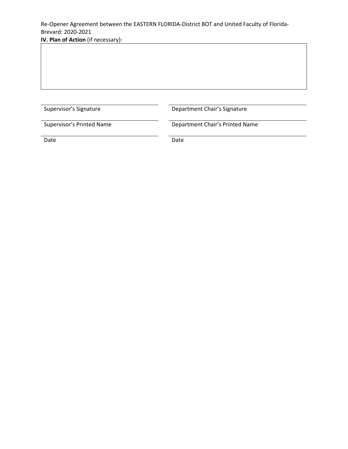**IV. Plan of Action** (if necessary):

Supervisor's Signature **Department Chair's Signature** 

Supervisor's Printed Name Department Chair's Printed Name

Date **Date** Date **Date** Date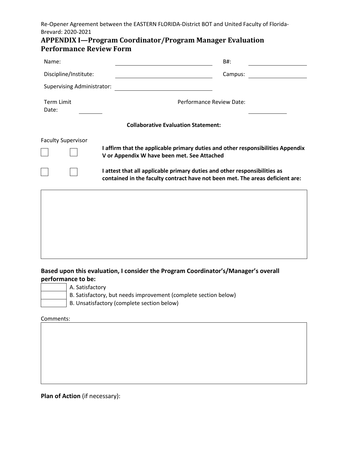| <b>APPENDIX I—Program Coordinator/Program Manager Evaluation</b> |  |
|------------------------------------------------------------------|--|
| <b>Performance Review Form</b>                                   |  |

| Name:                             | B#:                                                                                                                                                                                                                                                                                          |
|-----------------------------------|----------------------------------------------------------------------------------------------------------------------------------------------------------------------------------------------------------------------------------------------------------------------------------------------|
| Discipline/Institute:             | Campus:                                                                                                                                                                                                                                                                                      |
| <b>Supervising Administrator:</b> |                                                                                                                                                                                                                                                                                              |
| <b>Term Limit</b><br>Date:        | Performance Review Date:                                                                                                                                                                                                                                                                     |
|                                   | <b>Collaborative Evaluation Statement:</b>                                                                                                                                                                                                                                                   |
| <b>Faculty Supervisor</b>         | I affirm that the applicable primary duties and other responsibilities Appendix<br>V or Appendix W have been met. See Attached<br>I attest that all applicable primary duties and other responsibilities as<br>contained in the faculty contract have not been met. The areas deficient are: |
|                                   |                                                                                                                                                                                                                                                                                              |

**Based upon this evaluation, I consider the Program Coordinator's/Manager's overall performance to be:**

- A. Satisfactory
	- B. Satisfactory, but needs improvement (complete section below)
	- B. Unsatisfactory (complete section below)

Comments:

**Plan of Action** (if necessary):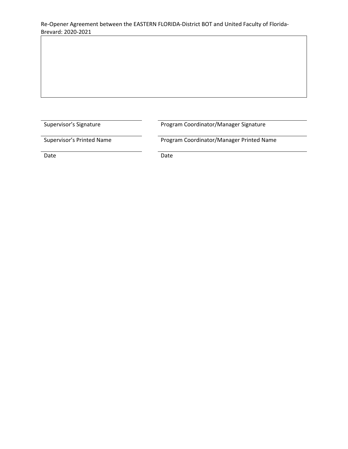Supervisor's Signature **Program Coordinator/Manager Signature** 

Supervisor's Printed Name **Program Coordinator/Manager Printed Name** 

Date Date Date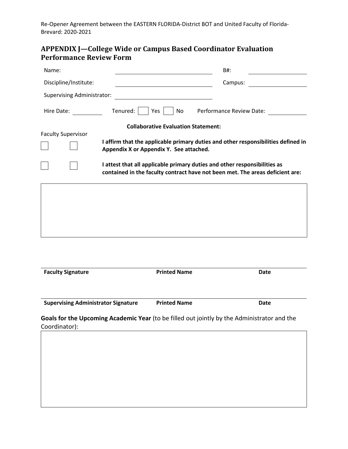# **APPENDIX J—College Wide or Campus Based Coordinator Evaluation Performance Review Form**

| Name:                             | B#:                                                                                                                                                        |
|-----------------------------------|------------------------------------------------------------------------------------------------------------------------------------------------------------|
| Discipline/Institute:             | Campus:                                                                                                                                                    |
| <b>Supervising Administrator:</b> |                                                                                                                                                            |
| Hire Date:                        | Tenured:<br>Yes<br>No<br>Performance Review Date:                                                                                                          |
|                                   | <b>Collaborative Evaluation Statement:</b>                                                                                                                 |
| <b>Faculty Supervisor</b>         | I affirm that the applicable primary duties and other responsibilities defined in<br>Appendix X or Appendix Y. See attached.                               |
|                                   | I attest that all applicable primary duties and other responsibilities as<br>contained in the faculty contract have not been met. The areas deficient are: |
|                                   |                                                                                                                                                            |
|                                   |                                                                                                                                                            |
|                                   |                                                                                                                                                            |
|                                   |                                                                                                                                                            |
|                                   |                                                                                                                                                            |

| <b>Faculty Signature</b>                   | <b>Printed Name</b> | Date |
|--------------------------------------------|---------------------|------|
| <b>Supervising Administrator Signature</b> | <b>Printed Name</b> | Date |

**Goals for the Upcoming Academic Year** (to be filled out jointly by the Administrator and the Coordinator):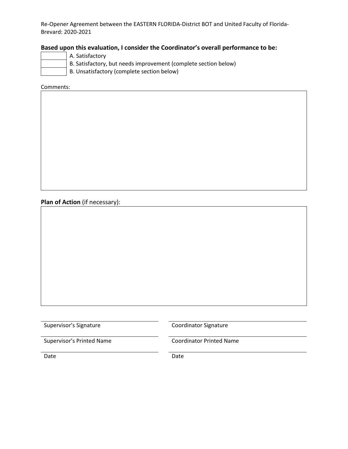### **Based upon this evaluation, I consider the Coordinator's overall performance to be:**

- A. Satisfactory
	- B. Satisfactory, but needs improvement (complete section below)
	- B. Unsatisfactory (complete section below)

Comments:

**Plan of Action** (if necessary):

Supervisor's Signature Coordinator Signature

Supervisor's Printed Name<br>
Coordinator Printed Name

Date **Date** Date **Date** Date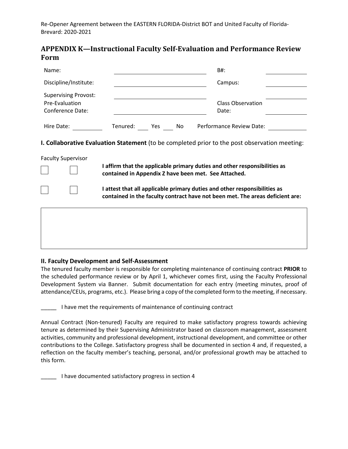### **APPENDIX K—Instructional Faculty Self-Evaluation and Performance Review Form**

| Name:                                                             | B#:                                                                                                                                                                                                                                       |  |
|-------------------------------------------------------------------|-------------------------------------------------------------------------------------------------------------------------------------------------------------------------------------------------------------------------------------------|--|
| Discipline/Institute:                                             | Campus:                                                                                                                                                                                                                                   |  |
| <b>Supervising Provost:</b><br>Pre-Evaluation<br>Conference Date: | <b>Class Observation</b><br>Date:                                                                                                                                                                                                         |  |
| Hire Date:                                                        | Performance Review Date:<br>Tenured: Yes No                                                                                                                                                                                               |  |
| <b>Faculty Supervisor</b>                                         | <b>I. Collaborative Evaluation Statement</b> (to be completed prior to the post observation meeting:<br>I affirm that the applicable primary duties and other responsibilities as<br>contained in Appendix Z have been met. See Attached. |  |
|                                                                   | I attest that all applicable primary duties and other responsibilities as<br>contained in the faculty contract have not been met. The areas deficient are:                                                                                |  |
|                                                                   |                                                                                                                                                                                                                                           |  |

#### **II. Faculty Development and Self-Assessment**

The tenured faculty member is responsible for completing maintenance of continuing contract **PRIOR** to the scheduled performance review or by April 1, whichever comes first, using the Faculty Professional Development System via Banner. Submit documentation for each entry (meeting minutes, proof of attendance/CEUs, programs, etc.). Please bring a copy of the completed form to the meeting, if necessary.

\_\_\_\_\_ I have met the requirements of maintenance of continuing contract

Annual Contract (Non-tenured) Faculty are required to make satisfactory progress towards achieving tenure as determined by their Supervising Administrator based on classroom management, assessment activities, community and professional development, instructional development, and committee or other contributions to the College. Satisfactory progress shall be documented in section 4 and, if requested, a reflection on the faculty member's teaching, personal, and/or professional growth may be attached to this form.

\_\_\_\_\_ I have documented satisfactory progress in section 4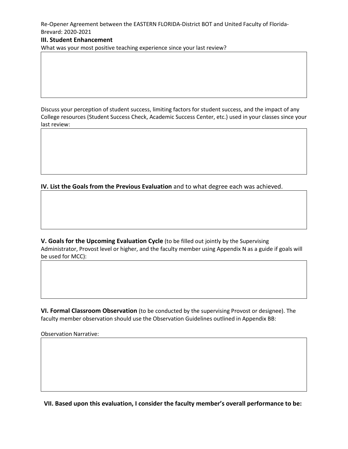#### **III. Student Enhancement**

What was your most positive teaching experience since your last review?

Discuss your perception of student success, limiting factors for student success, and the impact of any College resources (Student Success Check, Academic Success Center, etc.) used in your classes since your last review:

**IV. List the Goals from the Previous Evaluation** and to what degree each was achieved.

**V. Goals for the Upcoming Evaluation Cycle** (to be filled out jointly by the Supervising Administrator, Provost level or higher, and the faculty member using Appendix N as a guide if goals will be used for MCC):

**VI. Formal Classroom Observation** (to be conducted by the supervising Provost or designee). The faculty member observation should use the Observation Guidelines outlined in Appendix BB:

Observation Narrative:

**VII. Based upon this evaluation, I consider the faculty member's overall performance to be:**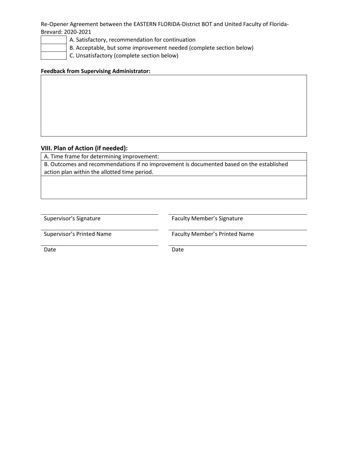A. Satisfactory, recommendation for continuation

B. Acceptable, but some improvement needed (complete section below)

C. Unsatisfactory (complete section below)

#### **Feedback from Supervising Administrator:**

#### **VIII. Plan of Action (if needed):**

A. Time frame for determining improvement:

B. Outcomes and recommendations if no improvement is documented based on the established action plan within the allotted time period.

Supervisor's Signature **Faculty Member's Signature** Faculty Member's Signature

Supervisor's Printed Name Faculty Member's Printed Name

Date **Date** Date **Date** Date **Date**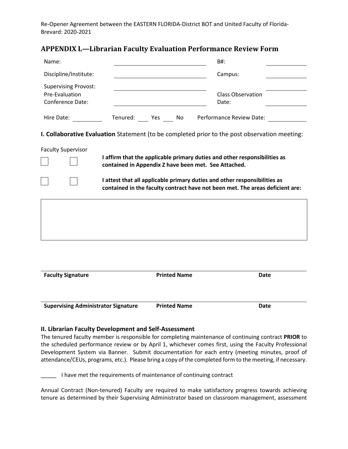### **APPENDIX L—Librarian Faculty Evaluation Performance Review Form**

| Name:                                                                    |                                                                                                                                                            | B#:                               |
|--------------------------------------------------------------------------|------------------------------------------------------------------------------------------------------------------------------------------------------------|-----------------------------------|
| Discipline/Institute:                                                    |                                                                                                                                                            | Campus:                           |
| <b>Supervising Provost:</b><br>Pre-Evaluation<br><b>Conference Date:</b> |                                                                                                                                                            | <b>Class Observation</b><br>Date: |
| Hire Date: Note:                                                         | Tenured: Yes No Performance Review Date:                                                                                                                   |                                   |
|                                                                          | I. Collaborative Evaluation Statement (to be completed prior to the post observation meeting:                                                              |                                   |
| <b>Faculty Supervisor</b>                                                | I affirm that the applicable primary duties and other responsibilities as<br>contained in Appendix Z have been met. See Attached.                          |                                   |
|                                                                          | I attest that all applicable primary duties and other responsibilities as<br>contained in the faculty contract have not been met. The areas deficient are: |                                   |
|                                                                          |                                                                                                                                                            |                                   |
|                                                                          |                                                                                                                                                            |                                   |
|                                                                          |                                                                                                                                                            |                                   |
|                                                                          |                                                                                                                                                            |                                   |
| <b>Faculty Signature</b>                                                 | <b>Printed Name</b>                                                                                                                                        | Date                              |

**Supervising Administrator Signature Printed Name Date**

#### **II. Librarian Faculty Development and Self-Assessment**

The tenured faculty member is responsible for completing maintenance of continuing contract **PRIOR** to the scheduled performance review or by April 1, whichever comes first, using the Faculty Professional Development System via Banner. Submit documentation for each entry (meeting minutes, proof of attendance/CEUs, programs, etc.). Please bring a copy of the completed form to the meeting, if necessary.

I have met the requirements of maintenance of continuing contract

Annual Contract (Non-tenured) Faculty are required to make satisfactory progress towards achieving tenure as determined by their Supervising Administrator based on classroom management, assessment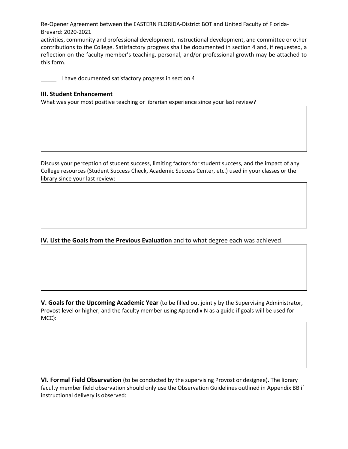activities, community and professional development, instructional development, and committee or other contributions to the College. Satisfactory progress shall be documented in section 4 and, if requested, a reflection on the faculty member's teaching, personal, and/or professional growth may be attached to this form.

\_\_\_\_\_ I have documented satisfactory progress in section 4

#### **III. Student Enhancement**

What was your most positive teaching or librarian experience since your last review?

Discuss your perception of student success, limiting factors for student success, and the impact of any College resources (Student Success Check, Academic Success Center, etc.) used in your classes or the library since your last review:

**IV. List the Goals from the Previous Evaluation** and to what degree each was achieved.

**V. Goals for the Upcoming Academic Year** (to be filled out jointly by the Supervising Administrator, Provost level or higher, and the faculty member using Appendix N as a guide if goals will be used for MCC):

**VI. Formal Field Observation** (to be conducted by the supervising Provost or designee). The library faculty member field observation should only use the Observation Guidelines outlined in Appendix BB if instructional delivery is observed: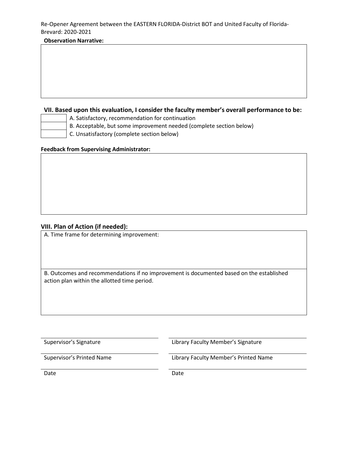#### **Observation Narrative:**

#### **VII. Based upon this evaluation, I consider the faculty member's overall performance to be:**

- A. Satisfactory, recommendation for continuation
- B. Acceptable, but some improvement needed (complete section below)
	- C. Unsatisfactory (complete section below)

#### **Feedback from Supervising Administrator:**

#### **VIII. Plan of Action (if needed):**

A. Time frame for determining improvement:

B. Outcomes and recommendations if no improvement is documented based on the established action plan within the allotted time period.

Supervisor's Signature Library Faculty Member's Signature

Supervisor's Printed Name Library Faculty Member's Printed Name

Date **Date** Date **Date** Date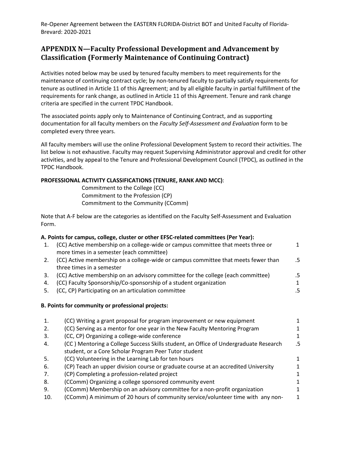## **APPENDIX N—Faculty Professional Development and Advancement by Classification (Formerly Maintenance of Continuing Contract)**

Activities noted below may be used by tenured faculty members to meet requirements for the maintenance of continuing contract cycle; by non-tenured faculty to partially satisfy requirements for tenure as outlined in Article 11 of this Agreement; and by all eligible faculty in partial fulfillment of the requirements for rank change, as outlined in Article 11 of this Agreement. Tenure and rank change criteria are specified in the current TPDC Handbook.

The associated points apply only to Maintenance of Continuing Contract, and as supporting documentation for all faculty members on the *Faculty Self-Assessment and Evaluation* form to be completed every three years.

All faculty members will use the online Professional Development System to record their activities. The list below is not exhaustive. Faculty may request Supervising Administrator approval and credit for other activities, and by appeal to the Tenure and Professional Development Council (TPDC), as outlined in the TPDC Handbook.

#### **PROFESSIONAL ACTIVITY CLASSIFICATIONS (TENURE, RANK AND MCC)**:

Commitment to the College (CC) Commitment to the Profession (CP) Commitment to the Community (CComm)

Note that A-F below are the categories as identified on the Faculty Self-Assessment and Evaluation Form.

#### **A. Points for campus, college, cluster or other EFSC-related committees (Per Year):**

| 1. | (CC) Active membership on a college-wide or campus committee that meets three or                                      |    |
|----|-----------------------------------------------------------------------------------------------------------------------|----|
|    | more times in a semester (each committee)                                                                             |    |
| 2. | (CC) Active membership on a college-wide or campus committee that meets fewer than                                    | .5 |
|    | three times in a semester                                                                                             |    |
| 3. | (CC) Active membership on an advisory committee for the college (each committee)                                      | .5 |
| 4. | (CC) Faculty Sponsorship/Co-sponsorship of a student organization                                                     | 1  |
|    | <b>LOO ON BULLETING IS A REPORT OF A STATE OF A REPORT OF A STATE OF A REPORT OF A STATE OF A REPORT OF A STATE O</b> |    |

# 5. (CC, CP) Participating on an articulation committee .5

#### **B. Points for community or professional projects:**

| (CC) Writing a grant proposal for program improvement or new equipment               |    |
|--------------------------------------------------------------------------------------|----|
| (CC) Serving as a mentor for one year in the New Faculty Mentoring Program           |    |
| (CC, CP) Organizing a college-wide conference                                        | 1. |
| (CC) Mentoring a College Success Skills student, an Office of Undergraduate Research | .5 |
| student, or a Core Scholar Program Peer Tutor student                                |    |
| (CC) Volunteering in the Learning Lab for ten hours                                  |    |
| (CP) Teach an upper division course or graduate course at an accredited University   |    |
| (CP) Completing a profession-related project                                         |    |
| (CComm) Organizing a college sponsored community event                               |    |
| (CComm) Membership on an advisory committee for a non-profit organization            |    |
| (CComm) A minimum of 20 hours of community service/volunteer time with any non-      | 1  |
|                                                                                      |    |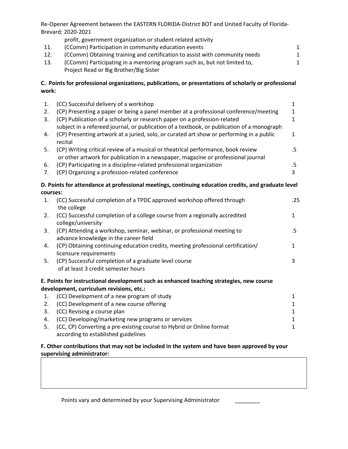|       | profit, government organization or student related activity                                                                                                             |   |
|-------|-------------------------------------------------------------------------------------------------------------------------------------------------------------------------|---|
| 11.   | (CComm) Participation in community education events                                                                                                                     | 1 |
| 12.   | (CComm) Obtaining training and certification to assist with community needs                                                                                             |   |
| 13.   | (CComm) Participating in a mentoring program such as, but not limited to,<br>Project Read or Big Brother/Big Sister                                                     |   |
| work: | C. Points for professional organizations, publications, or presentations of scholarly or professional                                                                   |   |
| 1.    | (CC) Successful delivery of a workshop                                                                                                                                  |   |
| 2.    | (CP) Presenting a paper or being a panel member at a professional conference/meeting                                                                                    |   |
| 3.    | (CP) Publication of a scholarly or research paper on a profession-related<br>subject in a refereed journal, or publication of a textbook, or publication of a monograph |   |

- 4. (CP) Presenting artwork at a juried, solo, or curated art show or performing in a public recital 1
- 5. (CP) Writing critical review of a musical or theatrical performance, book review or other artwork for publication in a newspaper, magazine or professional journal .5 6. (CP) Participating in a discipline-related professional organization .5
- 7. (CP) Organizing a profession-related conference 3

#### **D. Points for attendance at professional meetings, continuing education credits, and graduate level courses:**

| 1. | (CC) Successful completion of a TPDC approved workshop offered through<br>the college                            | .25 |
|----|------------------------------------------------------------------------------------------------------------------|-----|
| 2. | (CC) Successful completion of a college course from a regionally accredited<br>college/university                | 1   |
| 3. | (CP) Attending a workshop, seminar, webinar, or professional meeting to<br>advance knowledge in the career field | .5  |
| 4. | (CP) Obtaining continuing education credits, meeting professional certification/<br>licensure requirements       |     |
| 5. | (CP) Successful completion of a graduate level course<br>of at least 3 credit semester hours                     | 3   |
|    | E. Points for instructional development such as enhanced teaching strategies, new course                         |     |
|    | development, curriculum revisions, etc.:                                                                         |     |
| 1. | (CC) Development of a new program of study                                                                       |     |
| 2. | (CC) Development of a new course offering                                                                        |     |

3. (CC) Revising a course plan 1 4. (CC) Developing/marketing new programs or services 1 5. (CC, CP) Converting a pre-existing course to Hybrid or Online format according to established guidelines 1

#### **F. Other contributions that may not be included in the system and have been approved by your supervising administrator:**

Points vary and determined by your Supervising Administrator \_\_\_\_\_\_\_\_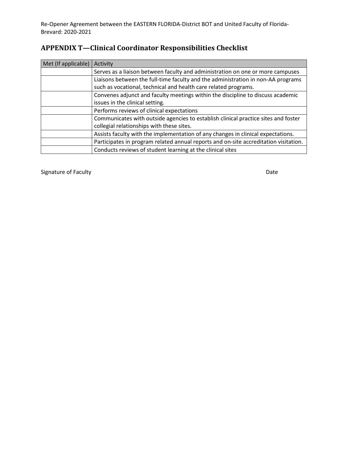# **APPENDIX T—Clinical Coordinator Responsibilities Checklist**

| Met (If applicable) | Activity                                                                             |
|---------------------|--------------------------------------------------------------------------------------|
|                     | Serves as a liaison between faculty and administration on one or more campuses       |
|                     | Liaisons between the full-time faculty and the administration in non-AA programs     |
|                     | such as vocational, technical and health care related programs.                      |
|                     | Convenes adjunct and faculty meetings within the discipline to discuss academic      |
|                     | issues in the clinical setting.                                                      |
|                     | Performs reviews of clinical expectations                                            |
|                     | Communicates with outside agencies to establish clinical practice sites and foster   |
|                     | collegial relationships with these sites.                                            |
|                     | Assists faculty with the implementation of any changes in clinical expectations.     |
|                     | Participates in program related annual reports and on-site accreditation visitation. |
|                     | Conducts reviews of student learning at the clinical sites                           |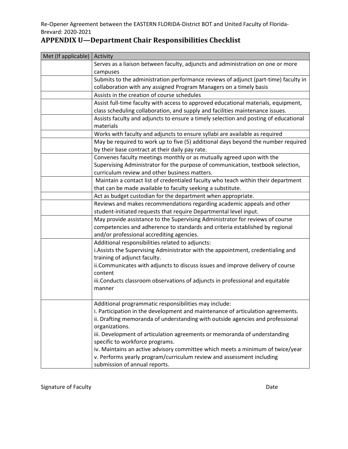| <b>APPENDIX U-Department Chair Responsibilities Checklist</b> |  |  |
|---------------------------------------------------------------|--|--|
|                                                               |  |  |

| Met (If applicable) | Activity                                                                                                                                 |  |  |  |  |  |  |  |
|---------------------|------------------------------------------------------------------------------------------------------------------------------------------|--|--|--|--|--|--|--|
|                     | Serves as a liaison between faculty, adjuncts and administration on one or more                                                          |  |  |  |  |  |  |  |
|                     | campuses                                                                                                                                 |  |  |  |  |  |  |  |
|                     | Submits to the administration performance reviews of adjunct (part-time) faculty in                                                      |  |  |  |  |  |  |  |
|                     | collaboration with any assigned Program Managers on a timely basis                                                                       |  |  |  |  |  |  |  |
|                     | Assists in the creation of course schedules                                                                                              |  |  |  |  |  |  |  |
|                     | Assist full-time faculty with access to approved educational materials, equipment,                                                       |  |  |  |  |  |  |  |
|                     | class scheduling collaboration, and supply and facilities maintenance issues.                                                            |  |  |  |  |  |  |  |
|                     | Assists faculty and adjuncts to ensure a timely selection and posting of educational                                                     |  |  |  |  |  |  |  |
|                     | materials                                                                                                                                |  |  |  |  |  |  |  |
|                     | Works with faculty and adjuncts to ensure syllabi are available as required                                                              |  |  |  |  |  |  |  |
|                     | May be required to work up to five (5) additional days beyond the number required                                                        |  |  |  |  |  |  |  |
|                     | by their base contract at their daily pay rate.                                                                                          |  |  |  |  |  |  |  |
|                     | Convenes faculty meetings monthly or as mutually agreed upon with the                                                                    |  |  |  |  |  |  |  |
|                     | Supervising Administrator for the purpose of communication, textbook selection,                                                          |  |  |  |  |  |  |  |
|                     | curriculum review and other business matters.                                                                                            |  |  |  |  |  |  |  |
|                     | Maintain a contact list of credentialed faculty who teach within their department                                                        |  |  |  |  |  |  |  |
|                     | that can be made available to faculty seeking a substitute.                                                                              |  |  |  |  |  |  |  |
|                     | Act as budget custodian for the department when appropriate.                                                                             |  |  |  |  |  |  |  |
|                     | Reviews and makes recommendations regarding academic appeals and other                                                                   |  |  |  |  |  |  |  |
|                     | student-initiated requests that require Departmental level input.                                                                        |  |  |  |  |  |  |  |
|                     | May provide assistance to the Supervising Administrator for reviews of course                                                            |  |  |  |  |  |  |  |
|                     | competencies and adherence to standards and criteria established by regional                                                             |  |  |  |  |  |  |  |
|                     | and/or professional accrediting agencies.                                                                                                |  |  |  |  |  |  |  |
|                     | Additional responsibilities related to adjuncts:                                                                                         |  |  |  |  |  |  |  |
|                     | i. Assists the Supervising Administrator with the appointment, credentialing and                                                         |  |  |  |  |  |  |  |
|                     | training of adjunct faculty.                                                                                                             |  |  |  |  |  |  |  |
|                     | ii. Communicates with adjuncts to discuss issues and improve delivery of course                                                          |  |  |  |  |  |  |  |
|                     | content                                                                                                                                  |  |  |  |  |  |  |  |
|                     | iii. Conducts classroom observations of adjuncts in professional and equitable                                                           |  |  |  |  |  |  |  |
|                     | manner                                                                                                                                   |  |  |  |  |  |  |  |
|                     |                                                                                                                                          |  |  |  |  |  |  |  |
|                     | Additional programmatic responsibilities may include:<br>i. Participation in the development and maintenance of articulation agreements. |  |  |  |  |  |  |  |
|                     | ii. Drafting memoranda of understanding with outside agencies and professional                                                           |  |  |  |  |  |  |  |
|                     | organizations.                                                                                                                           |  |  |  |  |  |  |  |
|                     | iii. Development of articulation agreements or memoranda of understanding                                                                |  |  |  |  |  |  |  |
|                     | specific to workforce programs.                                                                                                          |  |  |  |  |  |  |  |
|                     | iv. Maintains an active advisory committee which meets a minimum of twice/year                                                           |  |  |  |  |  |  |  |
|                     | v. Performs yearly program/curriculum review and assessment including                                                                    |  |  |  |  |  |  |  |
|                     | submission of annual reports.                                                                                                            |  |  |  |  |  |  |  |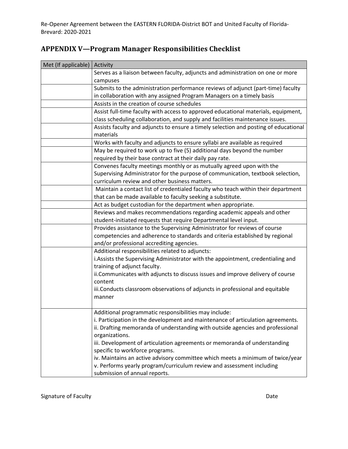| Met (If applicable) | Activity                                                                                                                                                                                                                                                                                                                                                                                                                                                                                                                                                                                                                                                                                                                                                                                                                                                                                                                                                                                                                                                                                                                                                                                                                                                                                                                                                |  |  |  |  |  |  |  |
|---------------------|---------------------------------------------------------------------------------------------------------------------------------------------------------------------------------------------------------------------------------------------------------------------------------------------------------------------------------------------------------------------------------------------------------------------------------------------------------------------------------------------------------------------------------------------------------------------------------------------------------------------------------------------------------------------------------------------------------------------------------------------------------------------------------------------------------------------------------------------------------------------------------------------------------------------------------------------------------------------------------------------------------------------------------------------------------------------------------------------------------------------------------------------------------------------------------------------------------------------------------------------------------------------------------------------------------------------------------------------------------|--|--|--|--|--|--|--|
|                     | Serves as a liaison between faculty, adjuncts and administration on one or more                                                                                                                                                                                                                                                                                                                                                                                                                                                                                                                                                                                                                                                                                                                                                                                                                                                                                                                                                                                                                                                                                                                                                                                                                                                                         |  |  |  |  |  |  |  |
|                     | campuses                                                                                                                                                                                                                                                                                                                                                                                                                                                                                                                                                                                                                                                                                                                                                                                                                                                                                                                                                                                                                                                                                                                                                                                                                                                                                                                                                |  |  |  |  |  |  |  |
|                     | Submits to the administration performance reviews of adjunct (part-time) faculty                                                                                                                                                                                                                                                                                                                                                                                                                                                                                                                                                                                                                                                                                                                                                                                                                                                                                                                                                                                                                                                                                                                                                                                                                                                                        |  |  |  |  |  |  |  |
|                     | in collaboration with any assigned Program Managers on a timely basis<br>Assists in the creation of course schedules                                                                                                                                                                                                                                                                                                                                                                                                                                                                                                                                                                                                                                                                                                                                                                                                                                                                                                                                                                                                                                                                                                                                                                                                                                    |  |  |  |  |  |  |  |
|                     |                                                                                                                                                                                                                                                                                                                                                                                                                                                                                                                                                                                                                                                                                                                                                                                                                                                                                                                                                                                                                                                                                                                                                                                                                                                                                                                                                         |  |  |  |  |  |  |  |
|                     | Assist full-time faculty with access to approved educational materials, equipment,                                                                                                                                                                                                                                                                                                                                                                                                                                                                                                                                                                                                                                                                                                                                                                                                                                                                                                                                                                                                                                                                                                                                                                                                                                                                      |  |  |  |  |  |  |  |
|                     | class scheduling collaboration, and supply and facilities maintenance issues.                                                                                                                                                                                                                                                                                                                                                                                                                                                                                                                                                                                                                                                                                                                                                                                                                                                                                                                                                                                                                                                                                                                                                                                                                                                                           |  |  |  |  |  |  |  |
|                     | Assists faculty and adjuncts to ensure a timely selection and posting of educational                                                                                                                                                                                                                                                                                                                                                                                                                                                                                                                                                                                                                                                                                                                                                                                                                                                                                                                                                                                                                                                                                                                                                                                                                                                                    |  |  |  |  |  |  |  |
|                     | materials                                                                                                                                                                                                                                                                                                                                                                                                                                                                                                                                                                                                                                                                                                                                                                                                                                                                                                                                                                                                                                                                                                                                                                                                                                                                                                                                               |  |  |  |  |  |  |  |
|                     | Works with faculty and adjuncts to ensure syllabi are available as required                                                                                                                                                                                                                                                                                                                                                                                                                                                                                                                                                                                                                                                                                                                                                                                                                                                                                                                                                                                                                                                                                                                                                                                                                                                                             |  |  |  |  |  |  |  |
|                     | May be required to work up to five (5) additional days beyond the number                                                                                                                                                                                                                                                                                                                                                                                                                                                                                                                                                                                                                                                                                                                                                                                                                                                                                                                                                                                                                                                                                                                                                                                                                                                                                |  |  |  |  |  |  |  |
|                     | required by their base contract at their daily pay rate.                                                                                                                                                                                                                                                                                                                                                                                                                                                                                                                                                                                                                                                                                                                                                                                                                                                                                                                                                                                                                                                                                                                                                                                                                                                                                                |  |  |  |  |  |  |  |
|                     | Convenes faculty meetings monthly or as mutually agreed upon with the                                                                                                                                                                                                                                                                                                                                                                                                                                                                                                                                                                                                                                                                                                                                                                                                                                                                                                                                                                                                                                                                                                                                                                                                                                                                                   |  |  |  |  |  |  |  |
|                     |                                                                                                                                                                                                                                                                                                                                                                                                                                                                                                                                                                                                                                                                                                                                                                                                                                                                                                                                                                                                                                                                                                                                                                                                                                                                                                                                                         |  |  |  |  |  |  |  |
|                     |                                                                                                                                                                                                                                                                                                                                                                                                                                                                                                                                                                                                                                                                                                                                                                                                                                                                                                                                                                                                                                                                                                                                                                                                                                                                                                                                                         |  |  |  |  |  |  |  |
|                     | Maintain a contact list of credentialed faculty who teach within their department                                                                                                                                                                                                                                                                                                                                                                                                                                                                                                                                                                                                                                                                                                                                                                                                                                                                                                                                                                                                                                                                                                                                                                                                                                                                       |  |  |  |  |  |  |  |
|                     |                                                                                                                                                                                                                                                                                                                                                                                                                                                                                                                                                                                                                                                                                                                                                                                                                                                                                                                                                                                                                                                                                                                                                                                                                                                                                                                                                         |  |  |  |  |  |  |  |
|                     |                                                                                                                                                                                                                                                                                                                                                                                                                                                                                                                                                                                                                                                                                                                                                                                                                                                                                                                                                                                                                                                                                                                                                                                                                                                                                                                                                         |  |  |  |  |  |  |  |
|                     |                                                                                                                                                                                                                                                                                                                                                                                                                                                                                                                                                                                                                                                                                                                                                                                                                                                                                                                                                                                                                                                                                                                                                                                                                                                                                                                                                         |  |  |  |  |  |  |  |
|                     | student-initiated requests that require Departmental level input.                                                                                                                                                                                                                                                                                                                                                                                                                                                                                                                                                                                                                                                                                                                                                                                                                                                                                                                                                                                                                                                                                                                                                                                                                                                                                       |  |  |  |  |  |  |  |
|                     | Provides assistance to the Supervising Administrator for reviews of course                                                                                                                                                                                                                                                                                                                                                                                                                                                                                                                                                                                                                                                                                                                                                                                                                                                                                                                                                                                                                                                                                                                                                                                                                                                                              |  |  |  |  |  |  |  |
|                     |                                                                                                                                                                                                                                                                                                                                                                                                                                                                                                                                                                                                                                                                                                                                                                                                                                                                                                                                                                                                                                                                                                                                                                                                                                                                                                                                                         |  |  |  |  |  |  |  |
|                     | and/or professional accrediting agencies.                                                                                                                                                                                                                                                                                                                                                                                                                                                                                                                                                                                                                                                                                                                                                                                                                                                                                                                                                                                                                                                                                                                                                                                                                                                                                                               |  |  |  |  |  |  |  |
|                     |                                                                                                                                                                                                                                                                                                                                                                                                                                                                                                                                                                                                                                                                                                                                                                                                                                                                                                                                                                                                                                                                                                                                                                                                                                                                                                                                                         |  |  |  |  |  |  |  |
|                     |                                                                                                                                                                                                                                                                                                                                                                                                                                                                                                                                                                                                                                                                                                                                                                                                                                                                                                                                                                                                                                                                                                                                                                                                                                                                                                                                                         |  |  |  |  |  |  |  |
|                     |                                                                                                                                                                                                                                                                                                                                                                                                                                                                                                                                                                                                                                                                                                                                                                                                                                                                                                                                                                                                                                                                                                                                                                                                                                                                                                                                                         |  |  |  |  |  |  |  |
|                     |                                                                                                                                                                                                                                                                                                                                                                                                                                                                                                                                                                                                                                                                                                                                                                                                                                                                                                                                                                                                                                                                                                                                                                                                                                                                                                                                                         |  |  |  |  |  |  |  |
|                     |                                                                                                                                                                                                                                                                                                                                                                                                                                                                                                                                                                                                                                                                                                                                                                                                                                                                                                                                                                                                                                                                                                                                                                                                                                                                                                                                                         |  |  |  |  |  |  |  |
|                     |                                                                                                                                                                                                                                                                                                                                                                                                                                                                                                                                                                                                                                                                                                                                                                                                                                                                                                                                                                                                                                                                                                                                                                                                                                                                                                                                                         |  |  |  |  |  |  |  |
|                     |                                                                                                                                                                                                                                                                                                                                                                                                                                                                                                                                                                                                                                                                                                                                                                                                                                                                                                                                                                                                                                                                                                                                                                                                                                                                                                                                                         |  |  |  |  |  |  |  |
|                     |                                                                                                                                                                                                                                                                                                                                                                                                                                                                                                                                                                                                                                                                                                                                                                                                                                                                                                                                                                                                                                                                                                                                                                                                                                                                                                                                                         |  |  |  |  |  |  |  |
|                     |                                                                                                                                                                                                                                                                                                                                                                                                                                                                                                                                                                                                                                                                                                                                                                                                                                                                                                                                                                                                                                                                                                                                                                                                                                                                                                                                                         |  |  |  |  |  |  |  |
|                     |                                                                                                                                                                                                                                                                                                                                                                                                                                                                                                                                                                                                                                                                                                                                                                                                                                                                                                                                                                                                                                                                                                                                                                                                                                                                                                                                                         |  |  |  |  |  |  |  |
|                     |                                                                                                                                                                                                                                                                                                                                                                                                                                                                                                                                                                                                                                                                                                                                                                                                                                                                                                                                                                                                                                                                                                                                                                                                                                                                                                                                                         |  |  |  |  |  |  |  |
|                     |                                                                                                                                                                                                                                                                                                                                                                                                                                                                                                                                                                                                                                                                                                                                                                                                                                                                                                                                                                                                                                                                                                                                                                                                                                                                                                                                                         |  |  |  |  |  |  |  |
|                     |                                                                                                                                                                                                                                                                                                                                                                                                                                                                                                                                                                                                                                                                                                                                                                                                                                                                                                                                                                                                                                                                                                                                                                                                                                                                                                                                                         |  |  |  |  |  |  |  |
|                     |                                                                                                                                                                                                                                                                                                                                                                                                                                                                                                                                                                                                                                                                                                                                                                                                                                                                                                                                                                                                                                                                                                                                                                                                                                                                                                                                                         |  |  |  |  |  |  |  |
|                     |                                                                                                                                                                                                                                                                                                                                                                                                                                                                                                                                                                                                                                                                                                                                                                                                                                                                                                                                                                                                                                                                                                                                                                                                                                                                                                                                                         |  |  |  |  |  |  |  |
|                     |                                                                                                                                                                                                                                                                                                                                                                                                                                                                                                                                                                                                                                                                                                                                                                                                                                                                                                                                                                                                                                                                                                                                                                                                                                                                                                                                                         |  |  |  |  |  |  |  |
|                     | Supervising Administrator for the purpose of communication, textbook selection,<br>curriculum review and other business matters.<br>that can be made available to faculty seeking a substitute.<br>Act as budget custodian for the department when appropriate.<br>Reviews and makes recommendations regarding academic appeals and other<br>competencies and adherence to standards and criteria established by regional<br>Additional responsibilities related to adjuncts:<br>i. Assists the Supervising Administrator with the appointment, credentialing and<br>training of adjunct faculty.<br>ii. Communicates with adjuncts to discuss issues and improve delivery of course<br>content<br>iii. Conducts classroom observations of adjuncts in professional and equitable<br>manner<br>Additional programmatic responsibilities may include:<br>i. Participation in the development and maintenance of articulation agreements.<br>ii. Drafting memoranda of understanding with outside agencies and professional<br>organizations.<br>iii. Development of articulation agreements or memoranda of understanding<br>specific to workforce programs.<br>iv. Maintains an active advisory committee which meets a minimum of twice/year<br>v. Performs yearly program/curriculum review and assessment including<br>submission of annual reports. |  |  |  |  |  |  |  |

# **APPENDIX V—Program Manager Responsibilities Checklist**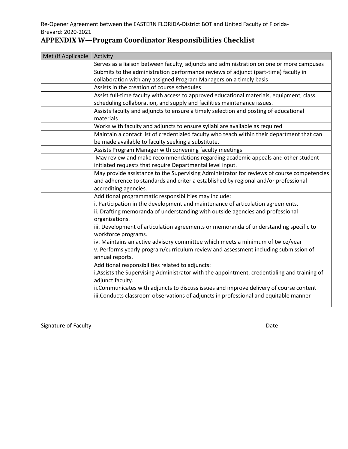# **APPENDIX W—Program Coordinator Responsibilities Checklist**

| Met (If Applicable | Activity                                                                                     |  |  |  |  |  |  |
|--------------------|----------------------------------------------------------------------------------------------|--|--|--|--|--|--|
|                    | Serves as a liaison between faculty, adjuncts and administration on one or more campuses     |  |  |  |  |  |  |
|                    | Submits to the administration performance reviews of adjunct (part-time) faculty in          |  |  |  |  |  |  |
|                    | collaboration with any assigned Program Managers on a timely basis                           |  |  |  |  |  |  |
|                    | Assists in the creation of course schedules                                                  |  |  |  |  |  |  |
|                    | Assist full-time faculty with access to approved educational materials, equipment, class     |  |  |  |  |  |  |
|                    | scheduling collaboration, and supply and facilities maintenance issues.                      |  |  |  |  |  |  |
|                    | Assists faculty and adjuncts to ensure a timely selection and posting of educational         |  |  |  |  |  |  |
|                    | materials                                                                                    |  |  |  |  |  |  |
|                    | Works with faculty and adjuncts to ensure syllabi are available as required                  |  |  |  |  |  |  |
|                    | Maintain a contact list of credentialed faculty who teach within their department that can   |  |  |  |  |  |  |
|                    | be made available to faculty seeking a substitute.                                           |  |  |  |  |  |  |
|                    | Assists Program Manager with convening faculty meetings                                      |  |  |  |  |  |  |
|                    | May review and make recommendations regarding academic appeals and other student-            |  |  |  |  |  |  |
|                    | initiated requests that require Departmental level input.                                    |  |  |  |  |  |  |
|                    | May provide assistance to the Supervising Administrator for reviews of course competencies   |  |  |  |  |  |  |
|                    | and adherence to standards and criteria established by regional and/or professional          |  |  |  |  |  |  |
|                    | accrediting agencies.                                                                        |  |  |  |  |  |  |
|                    | Additional programmatic responsibilities may include:                                        |  |  |  |  |  |  |
|                    | i. Participation in the development and maintenance of articulation agreements.              |  |  |  |  |  |  |
|                    | ii. Drafting memoranda of understanding with outside agencies and professional               |  |  |  |  |  |  |
|                    | organizations.                                                                               |  |  |  |  |  |  |
|                    | iii. Development of articulation agreements or memoranda of understanding specific to        |  |  |  |  |  |  |
|                    | workforce programs.                                                                          |  |  |  |  |  |  |
|                    | iv. Maintains an active advisory committee which meets a minimum of twice/year               |  |  |  |  |  |  |
|                    | v. Performs yearly program/curriculum review and assessment including submission of          |  |  |  |  |  |  |
|                    | annual reports.                                                                              |  |  |  |  |  |  |
|                    | Additional responsibilities related to adjuncts:                                             |  |  |  |  |  |  |
|                    | i. Assists the Supervising Administrator with the appointment, credentialing and training of |  |  |  |  |  |  |
|                    | adjunct faculty.                                                                             |  |  |  |  |  |  |
|                    | ii. Communicates with adjuncts to discuss issues and improve delivery of course content      |  |  |  |  |  |  |
|                    | iii.Conducts classroom observations of adjuncts in professional and equitable manner         |  |  |  |  |  |  |
|                    |                                                                                              |  |  |  |  |  |  |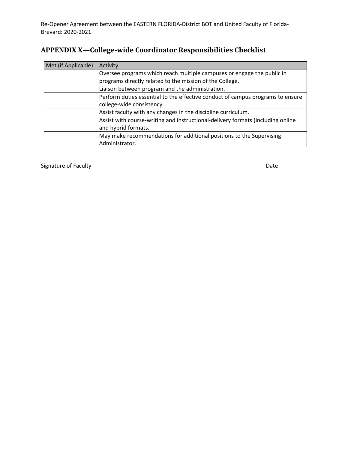# **APPENDIX X—College-wide Coordinator Responsibilities Checklist**

| Met (if Applicable) | Activity                                                                        |
|---------------------|---------------------------------------------------------------------------------|
|                     | Oversee programs which reach multiple campuses or engage the public in          |
|                     | programs directly related to the mission of the College.                        |
|                     | Liaison between program and the administration.                                 |
|                     | Perform duties essential to the effective conduct of campus programs to ensure  |
|                     | college-wide consistency.                                                       |
|                     | Assist faculty with any changes in the discipline curriculum.                   |
|                     | Assist with course-writing and instructional-delivery formats (including online |
|                     | and hybrid formats.                                                             |
|                     | May make recommendations for additional positions to the Supervising            |
|                     | Administrator.                                                                  |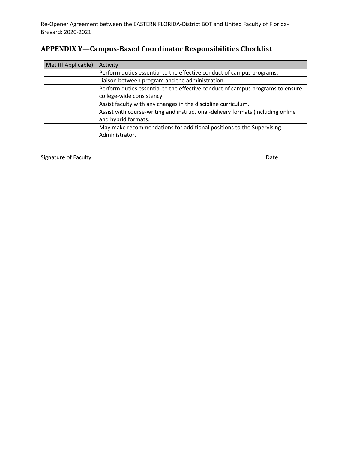| Met (If Applicable) | Activity                                                                        |  |  |  |  |  |
|---------------------|---------------------------------------------------------------------------------|--|--|--|--|--|
|                     | Perform duties essential to the effective conduct of campus programs.           |  |  |  |  |  |
|                     | Liaison between program and the administration.                                 |  |  |  |  |  |
|                     | Perform duties essential to the effective conduct of campus programs to ensure  |  |  |  |  |  |
|                     | college-wide consistency.                                                       |  |  |  |  |  |
|                     | Assist faculty with any changes in the discipline curriculum.                   |  |  |  |  |  |
|                     | Assist with course-writing and instructional-delivery formats (including online |  |  |  |  |  |
|                     | and hybrid formats.                                                             |  |  |  |  |  |
|                     | May make recommendations for additional positions to the Supervising            |  |  |  |  |  |
|                     | Administrator.                                                                  |  |  |  |  |  |

# **APPENDIX Y—Campus-Based Coordinator Responsibilities Checklist**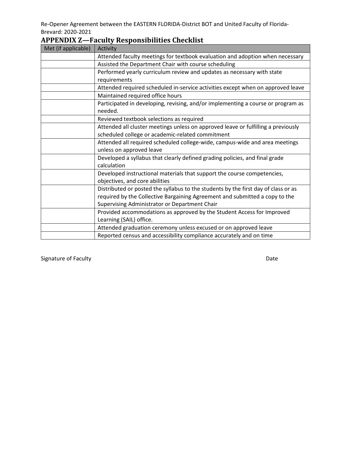| Met (if applicable) | Activity                                                                           |  |  |  |  |  |  |
|---------------------|------------------------------------------------------------------------------------|--|--|--|--|--|--|
|                     | Attended faculty meetings for textbook evaluation and adoption when necessary      |  |  |  |  |  |  |
|                     | Assisted the Department Chair with course scheduling                               |  |  |  |  |  |  |
|                     | Performed yearly curriculum review and updates as necessary with state             |  |  |  |  |  |  |
|                     | requirements                                                                       |  |  |  |  |  |  |
|                     | Attended required scheduled in-service activities except when on approved leave    |  |  |  |  |  |  |
|                     | Maintained required office hours                                                   |  |  |  |  |  |  |
|                     | Participated in developing, revising, and/or implementing a course or program as   |  |  |  |  |  |  |
|                     | needed.                                                                            |  |  |  |  |  |  |
|                     | Reviewed textbook selections as required                                           |  |  |  |  |  |  |
|                     | Attended all cluster meetings unless on approved leave or fulfilling a previously  |  |  |  |  |  |  |
|                     | scheduled college or academic-related commitment                                   |  |  |  |  |  |  |
|                     | Attended all required scheduled college-wide, campus-wide and area meetings        |  |  |  |  |  |  |
|                     | unless on approved leave                                                           |  |  |  |  |  |  |
|                     | Developed a syllabus that clearly defined grading policies, and final grade        |  |  |  |  |  |  |
|                     | calculation                                                                        |  |  |  |  |  |  |
|                     | Developed instructional materials that support the course competencies,            |  |  |  |  |  |  |
|                     | objectives, and core abilities                                                     |  |  |  |  |  |  |
|                     | Distributed or posted the syllabus to the students by the first day of class or as |  |  |  |  |  |  |
|                     | required by the Collective Bargaining Agreement and submitted a copy to the        |  |  |  |  |  |  |
|                     | Supervising Administrator or Department Chair                                      |  |  |  |  |  |  |
|                     | Provided accommodations as approved by the Student Access for Improved             |  |  |  |  |  |  |
|                     | Learning (SAIL) office.                                                            |  |  |  |  |  |  |
|                     | Attended graduation ceremony unless excused or on approved leave                   |  |  |  |  |  |  |
|                     | Reported census and accessibility compliance accurately and on time                |  |  |  |  |  |  |

# **APPENDIX Z—Faculty Responsibilities Checklist**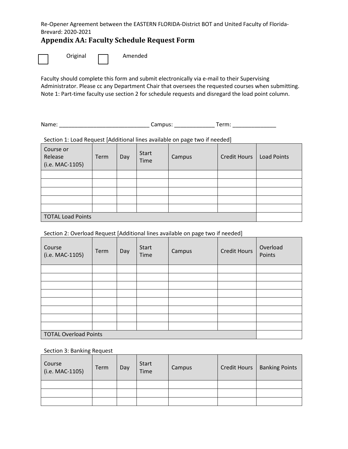# **Appendix AA: Faculty Schedule Request Form**

| Original |  | Amended |
|----------|--|---------|
|----------|--|---------|

Faculty should complete this form and submit electronically via e-mail to their Supervising Administrator. Please cc any Department Chair that oversees the requested courses when submitting. Note 1: Part-time faculty use section 2 for schedule requests and disregard the load point column.

Name: \_\_\_\_\_\_\_\_\_\_\_\_\_\_\_\_\_\_\_\_\_\_\_\_\_\_\_\_\_ Campus: \_\_\_\_\_\_\_\_\_\_\_\_\_ Term: \_\_\_\_\_\_\_\_\_\_\_\_\_\_

Section 1: Load Request [Additional lines available on page two if needed]

| Course or<br>Release<br>(i.e. MAC-1105) | Term | Day | <b>Start</b><br>Time | Campus | <b>Credit Hours</b> | <b>Load Points</b> |
|-----------------------------------------|------|-----|----------------------|--------|---------------------|--------------------|
|                                         |      |     |                      |        |                     |                    |
|                                         |      |     |                      |        |                     |                    |
|                                         |      |     |                      |        |                     |                    |
|                                         |      |     |                      |        |                     |                    |
|                                         |      |     |                      |        |                     |                    |
| <b>TOTAL Load Points</b>                |      |     |                      |        |                     |                    |

#### Section 2: Overload Request [Additional lines available on page two if needed]

| Course<br>(i.e. MAC-1105)    | Term | Day | <b>Start</b><br>Time | Campus | <b>Credit Hours</b> | Overload<br>Points |
|------------------------------|------|-----|----------------------|--------|---------------------|--------------------|
|                              |      |     |                      |        |                     |                    |
|                              |      |     |                      |        |                     |                    |
|                              |      |     |                      |        |                     |                    |
|                              |      |     |                      |        |                     |                    |
|                              |      |     |                      |        |                     |                    |
|                              |      |     |                      |        |                     |                    |
|                              |      |     |                      |        |                     |                    |
|                              |      |     |                      |        |                     |                    |
| <b>TOTAL Overload Points</b> |      |     |                      |        |                     |                    |

#### Section 3: Banking Request

| Course<br>(i.e. MAC-1105) | Term | Day | <b>Start</b><br><b>Time</b> | Campus | <b>Credit Hours</b> | <b>Banking Points</b> |
|---------------------------|------|-----|-----------------------------|--------|---------------------|-----------------------|
|                           |      |     |                             |        |                     |                       |
|                           |      |     |                             |        |                     |                       |
|                           |      |     |                             |        |                     |                       |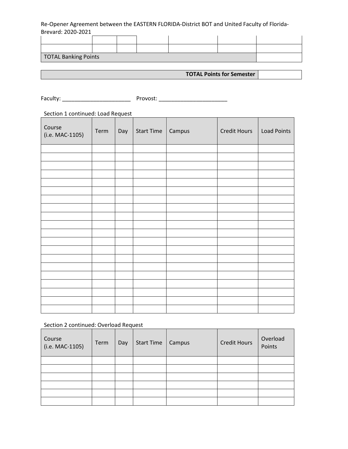| <b>TOTAL Banking Points</b> |  |  |  |  |
|-----------------------------|--|--|--|--|

**TOTAL Points for Semester**

Faculty: \_\_\_\_\_\_\_\_\_\_\_\_\_\_\_\_\_\_\_\_\_\_ Provost: \_\_\_\_\_\_\_\_\_\_\_\_\_\_\_\_\_\_\_\_\_\_

Section 1 continued: Load Request

| Course<br>(i.e. MAC-1105) | Term | Day | Start Time   Campus | <b>Credit Hours</b> | Load Points |
|---------------------------|------|-----|---------------------|---------------------|-------------|
|                           |      |     |                     |                     |             |
|                           |      |     |                     |                     |             |
|                           |      |     |                     |                     |             |
|                           |      |     |                     |                     |             |
|                           |      |     |                     |                     |             |
|                           |      |     |                     |                     |             |
|                           |      |     |                     |                     |             |
|                           |      |     |                     |                     |             |
|                           |      |     |                     |                     |             |
|                           |      |     |                     |                     |             |
|                           |      |     |                     |                     |             |
|                           |      |     |                     |                     |             |
|                           |      |     |                     |                     |             |
|                           |      |     |                     |                     |             |
|                           |      |     |                     |                     |             |
|                           |      |     |                     |                     |             |
|                           |      |     |                     |                     |             |
|                           |      |     |                     |                     |             |
|                           |      |     |                     |                     |             |
|                           |      |     |                     |                     |             |

#### Section 2 continued: Overload Request

| Course<br>(i.e. MAC-1105) | Term | Day | <b>Start Time</b> | Campus | <b>Credit Hours</b> | Overload<br>Points |
|---------------------------|------|-----|-------------------|--------|---------------------|--------------------|
|                           |      |     |                   |        |                     |                    |
|                           |      |     |                   |        |                     |                    |
|                           |      |     |                   |        |                     |                    |
|                           |      |     |                   |        |                     |                    |
|                           |      |     |                   |        |                     |                    |
|                           |      |     |                   |        |                     |                    |